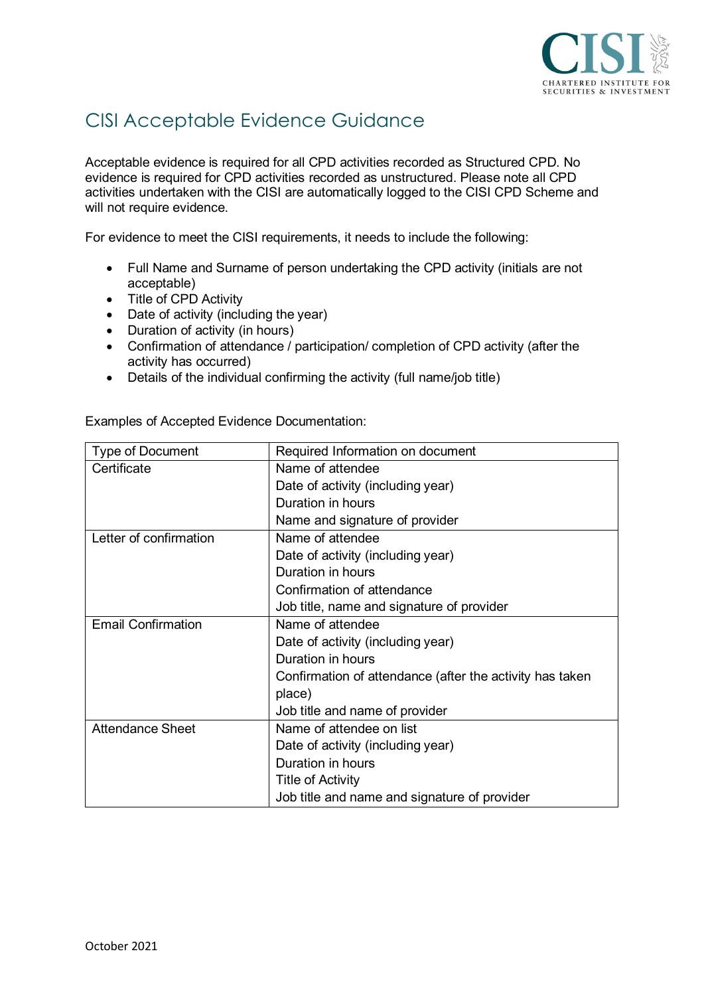

# CISI Acceptable Evidence Guidance

Acceptable evidence is required for all CPD activities recorded as Structured CPD. No evidence is required for CPD activities recorded as unstructured. Please note all CPD activities undertaken with the CISI are automatically logged to the CISI CPD Scheme and will not require evidence.

For evidence to meet the CISI requirements, it needs to include the following:

- Full Name and Surname of person undertaking the CPD activity (initials are not acceptable)
- Title of CPD Activity
- Date of activity (including the year)
- Duration of activity (in hours)
- Confirmation of attendance / participation/ completion of CPD activity (after the activity has occurred)
- Details of the individual confirming the activity (full name/job title)

| <b>Type of Document</b>   | Required Information on document                         |  |
|---------------------------|----------------------------------------------------------|--|
| Certificate               | Name of attendee                                         |  |
|                           | Date of activity (including year)                        |  |
|                           | Duration in hours                                        |  |
|                           | Name and signature of provider                           |  |
| Letter of confirmation    | Name of attendee                                         |  |
|                           | Date of activity (including year)                        |  |
|                           | Duration in hours                                        |  |
|                           | Confirmation of attendance                               |  |
|                           | Job title, name and signature of provider                |  |
| <b>Email Confirmation</b> | Name of attendee                                         |  |
|                           | Date of activity (including year)                        |  |
|                           | Duration in hours                                        |  |
|                           | Confirmation of attendance (after the activity has taken |  |
|                           | place)                                                   |  |
|                           | Job title and name of provider                           |  |
| <b>Attendance Sheet</b>   | Name of attendee on list                                 |  |
|                           | Date of activity (including year)                        |  |
|                           | Duration in hours                                        |  |
|                           | <b>Title of Activity</b>                                 |  |
|                           | Job title and name and signature of provider             |  |

Examples of Accepted Evidence Documentation: